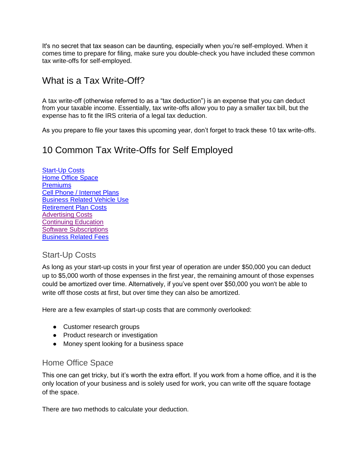It's no secret that tax season can be daunting, especially when you're self-employed. When it comes time to prepare for filing, make sure you double-check you have included these common tax write-offs for self-employed.

# What is a Tax Write-Off?

A tax write-off (otherwise referred to as a "tax deduction") is an expense that you can deduct from your taxable income. Essentially, tax write-offs allow you to pay a smaller tax bill, but the expense has to fit the IRS criteria of a legal tax deduction.

As you prepare to file your taxes this upcoming year, don't forget to track these 10 tax write-offs.

## 10 Common Tax Write-Offs for Self Employed

**[Start-Up Costs](#page-0-0)** [Home Office Space](#page-0-1) **[Premiums](#page-1-0)** [Cell Phone / Internet Plans](#page-1-1) [Business Related Vehicle Use](#page-1-2) [Retirement Plan Costs](#page-1-3) [Advertising Costs](#page-2-0) [Continuing Education](#page-2-1) [Software Subscriptions](#page-2-2) [Business Related Fees](#page-1-2)

#### <span id="page-0-0"></span>Start-Up Costs

As long as your start-up costs in your first year of operation are under \$50,000 you can deduct up to \$5,000 worth of those expenses in the first year, the remaining amount of those expenses could be amortized over time. Alternatively, if you've spent over \$50,000 you won't be able to write off those costs at first, but over time they can also be amortized.

Here are a few examples of start-up costs that are commonly overlooked:

- Customer research groups
- Product research or investigation
- Money spent looking for a business space

#### <span id="page-0-1"></span>Home Office Space

This one can get tricky, but it's worth the extra effort. If you work from a home office, and it is the only location of your business and is solely used for work, you can write off the square footage of the space.

There are two methods to calculate your deduction.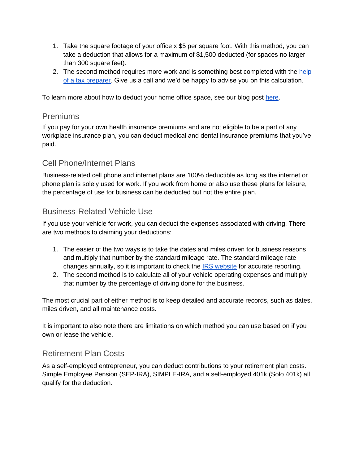- 1. Take the square footage of your office x \$5 per square foot. With this method, you can take a deduction that allows for a maximum of \$1,500 deducted (for spaces no larger than 300 square feet).
- 2. The second method requires more work and is something best completed with the help [of a tax preparer.](https://mbe.cpa/services/tax-preparation/) Give us a call and we'd be happy to advise you on this calculation.

<span id="page-1-0"></span>To learn more about how to deduct your home office space, see our blog post [here.](https://mbe.cpa/working-from-home-how-to-deduct-your-home-office-expenses/)

#### Premiums

If you pay for your own health insurance premiums and are not eligible to be a part of any workplace insurance plan, you can deduct medical and dental insurance premiums that you've paid.

#### <span id="page-1-1"></span>Cell Phone/Internet Plans

Business-related cell phone and internet plans are 100% deductible as long as the internet or phone plan is solely used for work. If you work from home or also use these plans for leisure, the percentage of use for business can be deducted but not the entire plan.

#### <span id="page-1-2"></span>Business-Related Vehicle Use

If you use your vehicle for work, you can deduct the expenses associated with driving. There are two methods to claiming your deductions:

- 1. The easier of the two ways is to take the dates and miles driven for business reasons and multiply that number by the standard mileage rate. The standard mileage rate changes annually, so it is important to check the [IRS website](https://www.irs.gov/tax-professionals/standard-mileage-rates) for accurate reporting.
- 2. The second method is to calculate all of your vehicle operating expenses and multiply that number by the percentage of driving done for the business.

The most crucial part of either method is to keep detailed and accurate records, such as dates, miles driven, and all maintenance costs.

It is important to also note there are limitations on which method you can use based on if you own or lease the vehicle.

#### <span id="page-1-3"></span>Retirement Plan Costs

As a self-employed entrepreneur, you can deduct contributions to your retirement plan costs. Simple Employee Pension (SEP-IRA), SIMPLE-IRA, and a self-employed 401k (Solo 401k) all qualify for the deduction.